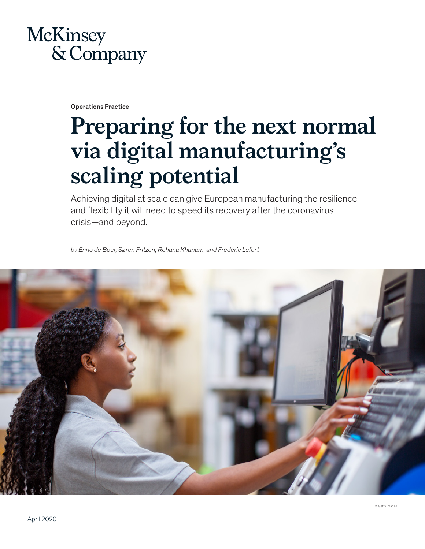# McKinsey & Company

Operations Practice

# **Preparing for the next normal via digital manufacturing's scaling potential**

Achieving digital at scale can give European manufacturing the resilience and flexibility it will need to speed its recovery after the coronavirus crisis—and beyond.

*by Enno de Boer, Søren Fritzen, Rehana Khanam, and Frédéric Lefort*

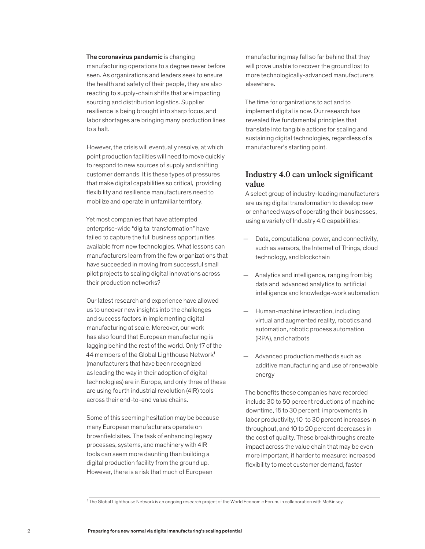#### The coronavirus pandemic is changing

manufacturing operations to a degree never before seen. As organizations and leaders seek to ensure the health and safety of their people, they are also reacting to supply-chain shifts that are impacting sourcing and distribution logistics. Supplier resilience is being brought into sharp focus, and labor shortages are bringing many production lines to a halt.

However, the crisis will eventually resolve, at which point production facilities will need to move quickly to respond to new sources of supply and shifting customer demands. It is these types of pressures that make digital capabilities so critical, providing flexibility and resilience manufacturers need to mobilize and operate in unfamiliar territory.

Yet most companies that have attempted enterprise-wide "digital transformation" have failed to capture the full business opportunities available from new technologies. What lessons can manufacturers learn from the few organizations that have succeeded in moving from successful small pilot projects to scaling digital innovations across their production networks?

Our latest research and experience have allowed us to uncover new insights into the challenges and success factors in implementing digital manufacturing at scale. Moreover, our work has also found that European manufacturing is lagging behind the rest of the world. Only 17 of the 44 members of the Global Lighthouse Network<sup>1</sup> (manufacturers that have been recognized as leading the way in their adoption of digital technologies) are in Europe, and only three of these are using fourth industrial revolution (4IR) tools across their end-to-end value chains.

Some of this seeming hesitation may be because many European manufacturers operate on brownfield sites. The task of enhancing legacy processes, systems, and machinery with 4IR tools can seem more daunting than building a digital production facility from the ground up. However, there is a risk that much of European

manufacturing may fall so far behind that they will prove unable to recover the ground lost to more technologically-advanced manufacturers elsewhere.

The time for organizations to act and to implement digital is now. Our research has revealed five fundamental principles that translate into tangible actions for scaling and sustaining digital technologies, regardless of a manufacturer's starting point.

# **Industry 4.0 can unlock significant value**

A select group of industry-leading manufacturers are using digital transformation to develop new or enhanced ways of operating their businesses, using a variety of Industry 4.0 capabilities:

- Data, computational power, and connectivity, such as sensors, the Internet of Things, cloud technology, and blockchain
- Analytics and intelligence, ranging from big data and advanced analytics to artificial intelligence and knowledge-work automation
- Human-machine interaction, including virtual and augmented reality, robotics and automation, robotic process automation (RPA), and chatbots
- Advanced production methods such as additive manufacturing and use of renewable energy

The benefits these companies have recorded include 30 to 50 percent reductions of machine downtime, 15 to 30 percent improvements in labor productivity, 10 to 30 percent increases in throughput, and 10 to 20 percent decreases in the cost of quality. These breakthroughs create impact across the value chain that may be even more important, if harder to measure: increased flexibility to meet customer demand, faster

<sup>1</sup> The Global Lighthouse Network is an ongoing research project of the World Economic Forum, in collaboration with McKinsey.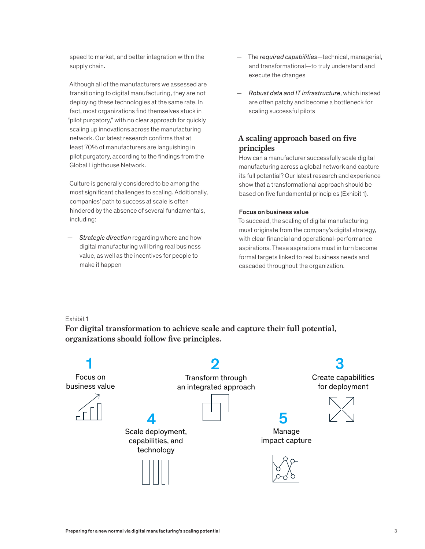speed to market, and better integration within the supply chain.

Although all of the manufacturers we assessed are transitioning to digital manufacturing, they are not deploying these technologies at the same rate. In fact, most organizations find themselves stuck in "pilot purgatory," with no clear approach for quickly scaling up innovations across the manufacturing network. Our latest research confirms that at least 70% of manufacturers are languishing in pilot purgatory, according to the findings from the Global Lighthouse Network.

Culture is generally considered to be among the most significant challenges to scaling. Additionally, companies' path to success at scale is often hindered by the absence of several fundamentals, including:

— *Strategic direction* regarding where and how digital manufacturing will bring real business value, as well as the incentives for people to make it happen

- The *required capabilities*—technical, managerial, and transformational—to truly understand and execute the changes
- *Robust data and IT infrastructure*, which instead are often patchy and become a bottleneck for scaling successful pilots

# **A scaling approach based on five principles**

How can a manufacturer successfully scale digital manufacturing across a global network and capture its full potential? Our latest research and experience show that a transformational approach should be based on five fundamental principles (Exhibit 1).

### Focus on business value

To succeed, the scaling of digital manufacturing must originate from the company's digital strategy, with clear financial and operational-performance aspirations. These aspirations must in turn become formal targets linked to real business needs and cascaded throughout the organization.

Exhibit 1

For digital transformation to achieve scale and capture their full potential, organizations should follow five principles.

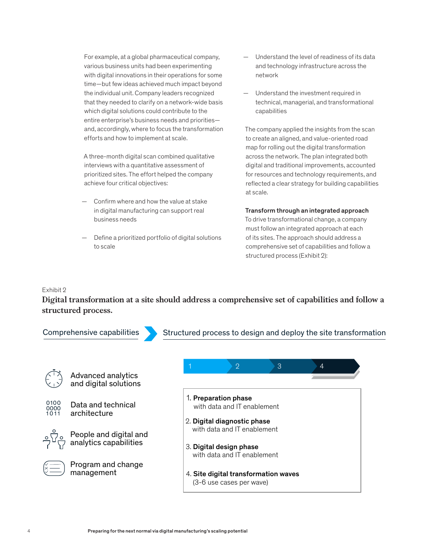For example, at a global pharmaceutical company, various business units had been experimenting with digital innovations in their operations for some time—but few ideas achieved much impact beyond the individual unit. Company leaders recognized that they needed to clarify on a network-wide basis which digital solutions could contribute to the entire enterprise's business needs and priorities and, accordingly, where to focus the transformation efforts and how to implement at scale.

A three-month digital scan combined qualitative interviews with a quantitative assessment of prioritized sites. The effort helped the company achieve four critical objectives:

- Confirm where and how the value at stake in digital manufacturing can support real business needs
- Define a prioritized portfolio of digital solutions to scale
- Understand the level of readiness of its data and technology infrastructure across the network
- Understand the investment required in technical, managerial, and transformational capabilities

The company applied the insights from the scan to create an aligned, and value-oriented road map for rolling out the digital transformation across the network. The plan integrated both digital and traditional improvements, accounted for resources and technology requirements, and reflected a clear strategy for building capabilities at scale.

# Transform through an integrated approach

To drive transformational change, a company must follow an integrated approach at each of its sites. The approach should address a comprehensive set of capabilities and follow a structured process (Exhibit 2):

# Exhibit 2

**Digital transformation at a site should address a comprehensive set of capabilities and follow a**  Digital transformation at a site should address a comprehensive set of structured process.

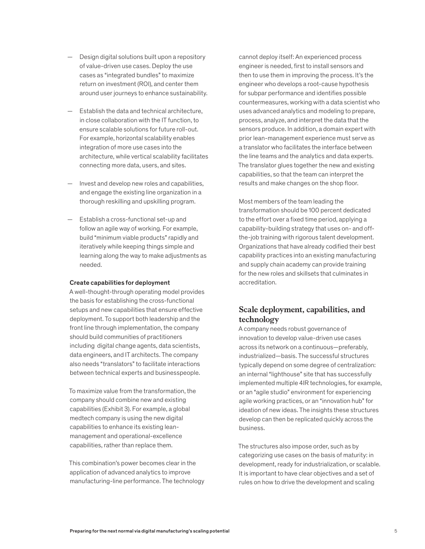- Design digital solutions built upon a repository of value-driven use cases. Deploy the use cases as "integrated bundles" to maximize return on investment (ROI), and center them around user journeys to enhance sustainability.
- Establish the data and technical architecture, in close collaboration with the IT function, to ensure scalable solutions for future roll-out. For example, horizontal scalability enables integration of more use cases into the architecture, while vertical scalability facilitates connecting more data, users, and sites.
- Invest and develop new roles and capabilities, and engage the existing line organization in a thorough reskilling and upskilling program.
- Establish a cross-functional set-up and follow an agile way of working. For example, build "minimum viable products" rapidly and iteratively while keeping things simple and learning along the way to make adjustments as needed.

#### Create capabilities for deployment

A well-thought-through operating model provides the basis for establishing the cross-functional setups and new capabilities that ensure effective deployment. To support both leadership and the front line through implementation, the company should build communities of practitioners including digital change agents, data scientists, data engineers, and IT architects. The company also needs "translators" to facilitate interactions between technical experts and businesspeople.

To maximize value from the transformation, the company should combine new and existing capabilities (Exhibit 3). For example, a global medtech company is using the new digital capabilities to enhance its existing leanmanagement and operational-excellence capabilities, rather than replace them.

This combination's power becomes clear in the application of advanced analytics to improve manufacturing-line performance. The technology

cannot deploy itself: An experienced process engineer is needed, first to install sensors and then to use them in improving the process. It's the engineer who develops a root-cause hypothesis for subpar performance and identifies possible countermeasures, working with a data scientist who uses advanced analytics and modeling to prepare, process, analyze, and interpret the data that the sensors produce. In addition, a domain expert with prior lean-management experience must serve as a translator who facilitates the interface between the line teams and the analytics and data experts. The translator glues together the new and existing capabilities, so that the team can interpret the results and make changes on the shop floor.

Most members of the team leading the transformation should be 100 percent dedicated to the effort over a fixed time period, applying a capability-building strategy that uses on- and offthe-job training with rigorous talent development. Organizations that have already codified their best capability practices into an existing manufacturing and supply chain academy can provide training for the new roles and skillsets that culminates in accreditation.

# **Scale deployment, capabilities, and technology**

A company needs robust governance of innovation to develop value-driven use cases across its network on a continuous—preferably, industrialized—basis. The successful structures typically depend on some degree of centralization: an internal "lighthouse" site that has successfully implemented multiple 4IR technologies, for example, or an "agile studio" environment for experiencing agile working practices, or an "innovation hub" for ideation of new ideas. The insights these structures develop can then be replicated quickly across the business.

The structures also impose order, such as by categorizing use cases on the basis of maturity: in development, ready for industrialization, or scalable. It is important to have clear objectives and a set of rules on how to drive the development and scaling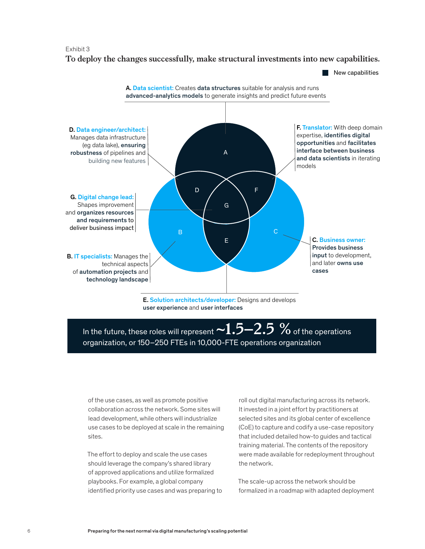#### Exhibit 3 To deploy the changes successfully, make structural investments in the changes successfully, make structural in

**To deploy the changes successfully, make structural investments into new capabilities.** new capabilities.



E. Solution architects/developer: Designs and develops user experience and user interfaces

# In the future, these roles will represent  $\sim\!\!1.5\!-\!2.5$  % of the operations organization, or 150–250 FTEs in 10,000-FTE operations organization

of the use cases, as well as promote positive collaboration across the network. Some sites will lead development, while others will industrialize use cases to be deployed at scale in the remaining sites.

The effort to deploy and scale the use cases should leverage the company's shared library of approved applications and utilize formalized playbooks. For example, a global company identified priority use cases and was preparing to

roll out digital manufacturing across its network. It invested in a joint effort by practitioners at selected sites and its global center of excellence (CoE) to capture and codify a use-case repository that included detailed how-to guides and tactical training material. The contents of the repository were made available for redeployment throughout the network.

 $\blacksquare$  New capabilities

The scale-up across the network should be formalized in a roadmap with adapted deployment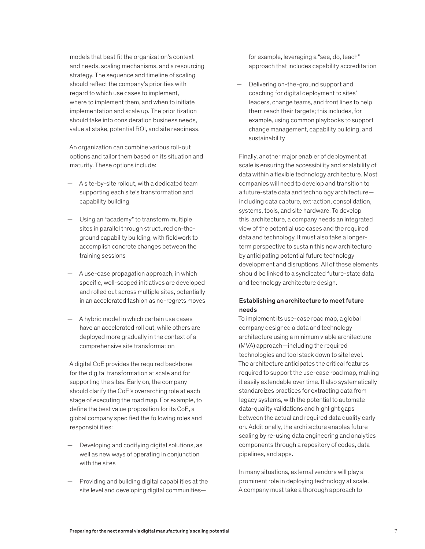models that best fit the organization's context and needs, scaling mechanisms, and a resourcing strategy. The sequence and timeline of scaling should reflect the company's priorities with regard to which use cases to implement, where to implement them, and when to initiate implementation and scale up. The prioritization should take into consideration business needs, value at stake, potential ROI, and site readiness.

An organization can combine various roll-out options and tailor them based on its situation and maturity. These options include:

- A site-by-site rollout, with a dedicated team supporting each site's transformation and capability building
- Using an "academy" to transform multiple sites in parallel through structured on-theground capability building, with fieldwork to accomplish concrete changes between the training sessions
- A use-case propagation approach, in which specific, well-scoped initiatives are developed and rolled out across multiple sites, potentially in an accelerated fashion as no-regrets moves
- A hybrid model in which certain use cases have an accelerated roll out, while others are deployed more gradually in the context of a comprehensive site transformation

A digital CoE provides the required backbone for the digital transformation at scale and for supporting the sites. Early on, the company should clarify the CoE's overarching role at each stage of executing the road map. For example, to define the best value proposition for its CoE, a global company specified the following roles and responsibilities:

- Developing and codifying digital solutions, as well as new ways of operating in conjunction with the sites
- Providing and building digital capabilities at the site level and developing digital communities—

for example, leveraging a "see, do, teach" approach that includes capability accreditation

— Delivering on-the-ground support and coaching for digital deployment to sites' leaders, change teams, and front lines to help them reach their targets; this includes, for example, using common playbooks to support change management, capability building, and sustainability

Finally, another major enabler of deployment at scale is ensuring the accessibility and scalability of data within a flexible technology architecture. Most companies will need to develop and transition to a future-state data and technology architecture including data capture, extraction, consolidation, systems, tools, and site hardware. To develop this architecture, a company needs an integrated view of the potential use cases and the required data and technology. It must also take a longerterm perspective to sustain this new architecture by anticipating potential future technology development and disruptions. All of these elements should be linked to a syndicated future-state data and technology architecture design.

# Establishing an architecture to meet future needs

To implement its use-case road map, a global company designed a data and technology architecture using a minimum viable architecture (MVA) approach—including the required technologies and tool stack down to site level. The architecture anticipates the critical features required to support the use-case road map, making it easily extendable over time. It also systematically standardizes practices for extracting data from legacy systems, with the potential to automate data-quality validations and highlight gaps between the actual and required data quality early on. Additionally, the architecture enables future scaling by re-using data engineering and analytics components through a repository of codes, data pipelines, and apps.

In many situations, external vendors will play a prominent role in deploying technology at scale. A company must take a thorough approach to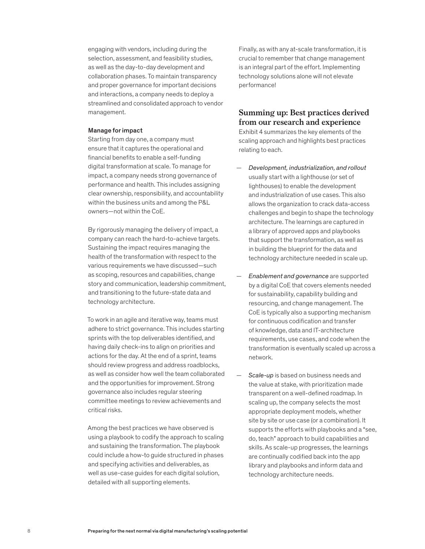engaging with vendors, including during the selection, assessment, and feasibility studies, as well as the day-to-day development and collaboration phases. To maintain transparency and proper governance for important decisions and interactions, a company needs to deploy a streamlined and consolidated approach to vendor management.

#### Manage for impact

Starting from day one, a company must ensure that it captures the operational and financial benefits to enable a self-funding digital transformation at scale. To manage for impact, a company needs strong governance of performance and health. This includes assigning clear ownership, responsibility, and accountability within the business units and among the P&L owners—not within the CoE.

By rigorously managing the delivery of impact, a company can reach the hard-to-achieve targets. Sustaining the impact requires managing the health of the transformation with respect to the various requirements we have discussed—such as scoping, resources and capabilities, change story and communication, leadership commitment, and transitioning to the future-state data and technology architecture.

To work in an agile and iterative way, teams must adhere to strict governance. This includes starting sprints with the top deliverables identified, and having daily check-ins to align on priorities and actions for the day. At the end of a sprint, teams should review progress and address roadblocks, as well as consider how well the team collaborated and the opportunities for improvement. Strong governance also includes regular steering committee meetings to review achievements and critical risks.

Among the best practices we have observed is using a playbook to codify the approach to scaling and sustaining the transformation. The playbook could include a how-to guide structured in phases and specifying activities and deliverables, as well as use-case guides for each digital solution, detailed with all supporting elements.

Finally, as with any at-scale transformation, it is crucial to remember that change management is an integral part of the effort. Implementing technology solutions alone will not elevate performance!

# **Summing up: Best practices derived from our research and experience**

Exhibit 4 summarizes the key elements of the scaling approach and highlights best practices relating to each.

- *Development, industrialization, and rollout*  usually start with a lighthouse (or set of lighthouses) to enable the development and industrialization of use cases. This also allows the organization to crack data-access challenges and begin to shape the technology architecture. The learnings are captured in a library of approved apps and playbooks that support the transformation, as well as in building the blueprint for the data and technology architecture needed in scale up.
- *Enablement and governance* are supported by a digital CoE that covers elements needed for sustainability, capability building and resourcing, and change management. The CoE is typically also a supporting mechanism for continuous codification and transfer of knowledge, data and IT-architecture requirements, use cases, and code when the transformation is eventually scaled up across a network.
- *Scale-up* is based on business needs and the value at stake, with prioritization made transparent on a well-defined roadmap. In scaling up, the company selects the most appropriate deployment models, whether site by site or use case (or a combination). It supports the efforts with playbooks and a "see, do, teach" approach to build capabilities and skills. As scale-up progresses, the learnings are continually codified back into the app library and playbooks and inform data and technology architecture needs.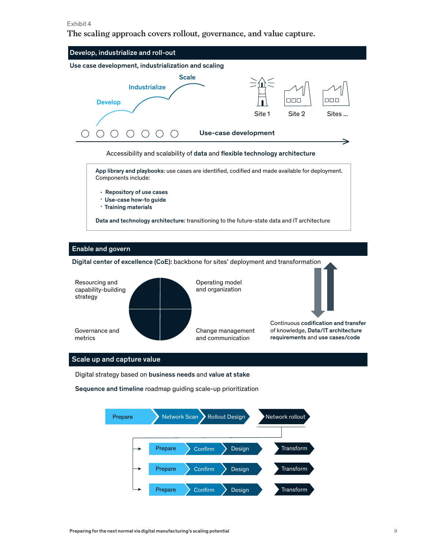### Exhibit 4

**The scaling approach covers rollout, governance, and value capture.** The scaling approach covers rollout, governance, and value capture.



Change management and communication

Governance and metrics

Scale up and capture value

Digital strategy based on business needs and value at stake

Sequence and timeline roadmap guiding scale-up prioritization



Continuous codification and transfer of knowledge, Data/IT architecture requirements and use cases/code